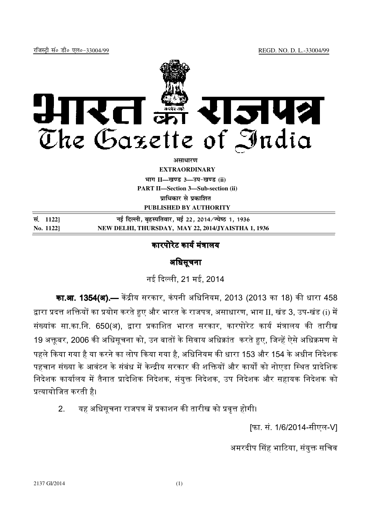

असाधा**र**ण **EXTRAORDINARY Hkkx II—[k.M 3—mi&[k.M (ii) PART II—Section 3—Sub-section (ii) पाधिकार से पका**शित **PUBLISHED BY AUTHORITY**

**la- 1122] ubZ fnYyh] c`gLifrokj] ebZ 22] 2014@T;s"B 1] 1936 No. 1122] NEW DELHI, THURSDAY, MAY 22, 2014/JYAISTHA 1, 1936**

## कारपोरेट कार्य मंत्रालय

### अधिसचना

नई दली, 21 मई, 2014

**का.आ. 1354(अ).—** केंद्रीय सरकार, कंपनी अधिनियम, 2013 (2013 का 18) की धारा 458 द्वारा प्रदत्त शक्तियों का प्रयोग करते हुए और भारत के राजपत्र, असाधारण, भाग II, खंड 3, उप-खंड (i) में संख्यांक सा.का.नि. 650(अ), द्वारा प्रकाशित भारत सरकार, कारपोरेट कार्य मंत्रालय की तारीख 19 अक्तूबर, 2006 की अधिसूचना को, उन बातों के सिवाय अधिक्रांत करते हुए, जिन्हें ऐसे अधिक्रमण से पहले किया गया है या करने का लोप किया गया है. अधिनियम की धारा 153 और 154 के अधीन निदेशक पहचान संख्या के आवंटन के संबंध में केन्द्रीय सरकार की शक्तियों और कार्यों को नोएडा स्थित प्रादेशिक निदेशक कार्यालय में तैनात प्रादेशिक निदेशक, संयुक्त निदेशक, उप निदेशक और सहायक निदेशक को <यायोिजत करती है।

# 2. यह अधिसूचना राजपत्र में प्रकाशन की तारीख को प्रवृत्त होगी।

[फा. सं. 1/6/2014-सीएल-V]

अमरदीप सिंह भाटिया, संयुक्त सचिव